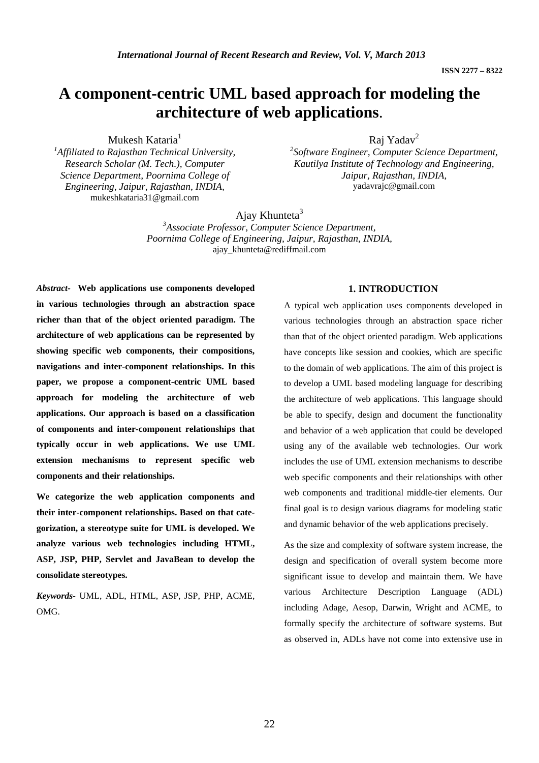# **A component-centric UML based approach for modeling the architecture of web applications**.

Mukesh Kataria<sup>1</sup>

*1 Affiliated to Rajasthan Technical University, Research Scholar (M. Tech.), Computer Science Department, Poornima College of Engineering, Jaipur, Rajasthan, INDIA,*  mukeshkataria31@gmail.com

Raj Yadav2

*2 Software Engineer, Computer Science Department, Kautilya Institute of Technology and Engineering, Jaipur, Rajasthan, INDIA,*  yadavrajc@gmail.com

Ajay Khunteta $3$ 

*3 Associate Professor, Computer Science Department, Poornima College of Engineering, Jaipur, Rajasthan, INDIA,*  ajay\_khunteta@rediffmail.com

*Abstract-* **Web applications use components developed in various technologies through an abstraction space richer than that of the object oriented paradigm. The architecture of web applications can be represented by showing specific web components, their compositions, navigations and inter-component relationships. In this paper, we propose a component-centric UML based approach for modeling the architecture of web applications. Our approach is based on a classification of components and inter-component relationships that typically occur in web applications. We use UML extension mechanisms to represent specific web components and their relationships.** 

**We categorize the web application components and their inter-component relationships. Based on that categorization, a stereotype suite for UML is developed. We analyze various web technologies including HTML, ASP, JSP, PHP, Servlet and JavaBean to develop the consolidate stereotypes.** 

*Keywords-* UML, ADL, HTML, ASP, JSP, PHP, ACME, OMG.

# **1. INTRODUCTION**

A typical web application uses components developed in various technologies through an abstraction space richer than that of the object oriented paradigm. Web applications have concepts like session and cookies, which are specific to the domain of web applications. The aim of this project is to develop a UML based modeling language for describing the architecture of web applications. This language should be able to specify, design and document the functionality and behavior of a web application that could be developed using any of the available web technologies. Our work includes the use of UML extension mechanisms to describe web specific components and their relationships with other web components and traditional middle-tier elements. Our final goal is to design various diagrams for modeling static and dynamic behavior of the web applications precisely.

As the size and complexity of software system increase, the design and specification of overall system become more significant issue to develop and maintain them. We have various Architecture Description Language (ADL) including Adage, Aesop, Darwin, Wright and ACME, to formally specify the architecture of software systems. But as observed in, ADLs have not come into extensive use in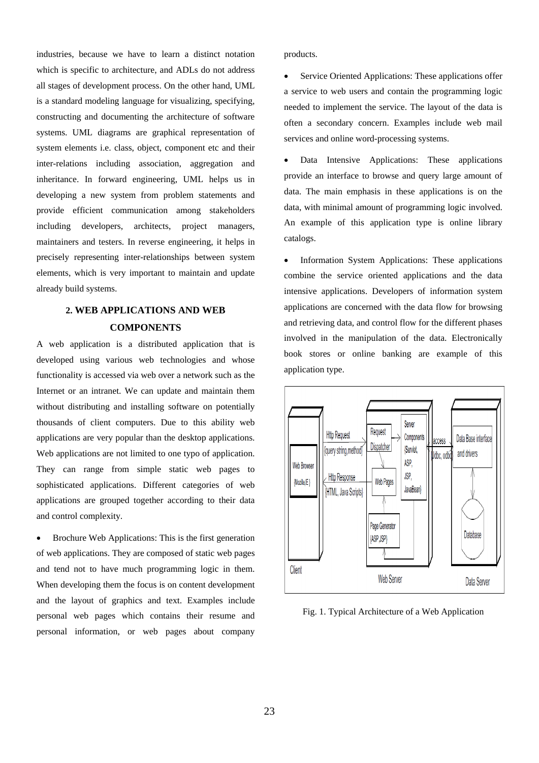industries, because we have to learn a distinct notation which is specific to architecture, and ADLs do not address all stages of development process. On the other hand, UML is a standard modeling language for visualizing, specifying, constructing and documenting the architecture of software systems. UML diagrams are graphical representation of system elements i.e. class, object, component etc and their inter-relations including association, aggregation and inheritance. In forward engineering, UML helps us in developing a new system from problem statements and provide efficient communication among stakeholders including developers, architects, project managers, maintainers and testers. In reverse engineering, it helps in precisely representing inter-relationships between system elements, which is very important to maintain and update already build systems.

# **2. WEB APPLICATIONS AND WEB COMPONENTS**

A web application is a distributed application that is developed using various web technologies and whose functionality is accessed via web over a network such as the Internet or an intranet. We can update and maintain them without distributing and installing software on potentially thousands of client computers. Due to this ability web applications are very popular than the desktop applications. Web applications are not limited to one typo of application. They can range from simple static web pages to sophisticated applications. Different categories of web applications are grouped together according to their data and control complexity.

• Brochure Web Applications: This is the first generation of web applications. They are composed of static web pages and tend not to have much programming logic in them. When developing them the focus is on content development and the layout of graphics and text. Examples include personal web pages which contains their resume and personal information, or web pages about company

products.

Service Oriented Applications: These applications offer a service to web users and contain the programming logic needed to implement the service. The layout of the data is often a secondary concern. Examples include web mail services and online word-processing systems.

Data Intensive Applications: These applications provide an interface to browse and query large amount of data. The main emphasis in these applications is on the data, with minimal amount of programming logic involved. An example of this application type is online library catalogs.

• Information System Applications: These applications combine the service oriented applications and the data intensive applications. Developers of information system applications are concerned with the data flow for browsing and retrieving data, and control flow for the different phases involved in the manipulation of the data. Electronically book stores or online banking are example of this application type.



Fig. 1. Typical Architecture of a Web Application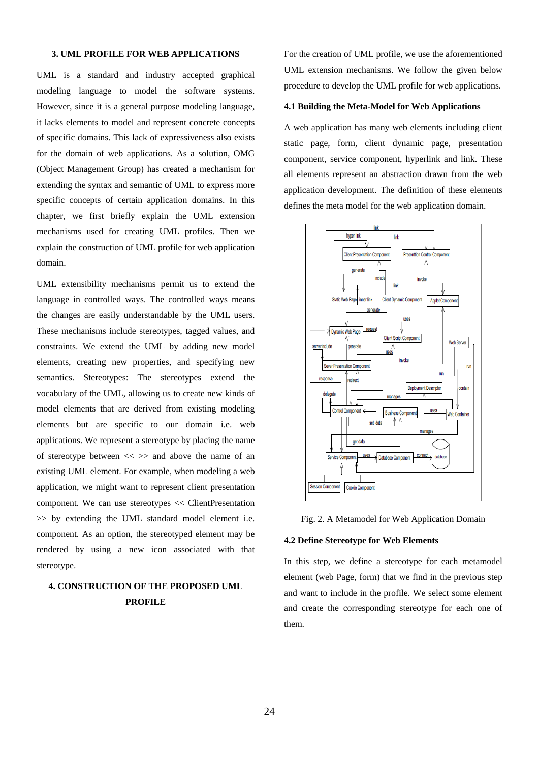## **3. UML PROFILE FOR WEB APPLICATIONS**

UML is a standard and industry accepted graphical modeling language to model the software systems. However, since it is a general purpose modeling language, it lacks elements to model and represent concrete concepts of specific domains. This lack of expressiveness also exists for the domain of web applications. As a solution, OMG (Object Management Group) has created a mechanism for extending the syntax and semantic of UML to express more specific concepts of certain application domains. In this chapter, we first briefly explain the UML extension mechanisms used for creating UML profiles. Then we explain the construction of UML profile for web application domain.

UML extensibility mechanisms permit us to extend the language in controlled ways. The controlled ways means the changes are easily understandable by the UML users. These mechanisms include stereotypes, tagged values, and constraints. We extend the UML by adding new model elements, creating new properties, and specifying new semantics. Stereotypes: The stereotypes extend the vocabulary of the UML, allowing us to create new kinds of model elements that are derived from existing modeling elements but are specific to our domain i.e. web applications. We represent a stereotype by placing the name of stereotype between  $\ll \gg$  and above the name of an existing UML element. For example, when modeling a web application, we might want to represent client presentation component. We can use stereotypes << ClientPresentation >> by extending the UML standard model element i.e. component. As an option, the stereotyped element may be rendered by using a new icon associated with that stereotype.

# **4. CONSTRUCTION OF THE PROPOSED UML PROFILE**

For the creation of UML profile, we use the aforementioned UML extension mechanisms. We follow the given below procedure to develop the UML profile for web applications.

#### **4.1 Building the Meta-Model for Web Applications**

A web application has many web elements including client static page, form, client dynamic page, presentation component, service component, hyperlink and link. These all elements represent an abstraction drawn from the web application development. The definition of these elements defines the meta model for the web application domain.





#### **4.2 Define Stereotype for Web Elements**

In this step, we define a stereotype for each metamodel element (web Page, form) that we find in the previous step and want to include in the profile. We select some element and create the corresponding stereotype for each one of them.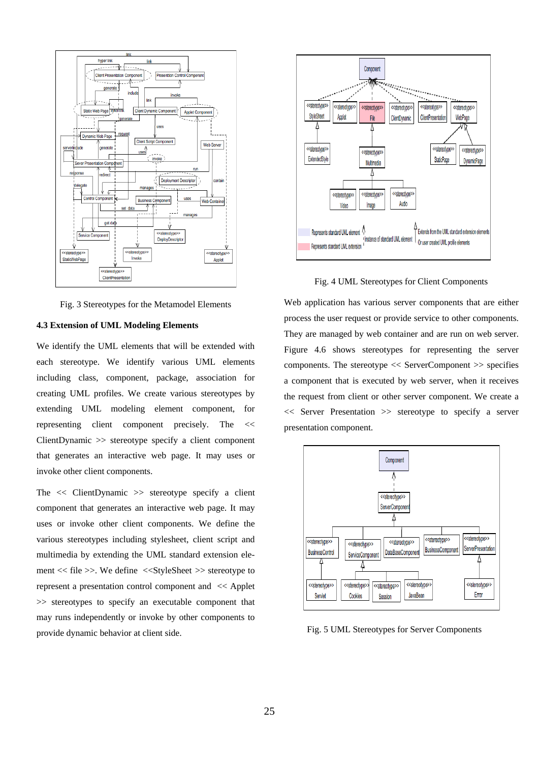

Fig. 3 Stereotypes for the Metamodel Elements

## **4.3 Extension of UML Modeling Elements**

We identify the UML elements that will be extended with each stereotype. We identify various UML elements including class, component, package, association for creating UML profiles. We create various stereotypes by extending UML modeling element component, for representing client component precisely. The << ClientDynamic >> stereotype specify a client component that generates an interactive web page. It may uses or invoke other client components.

The  $\ll$  ClientDynamic  $\gg$  stereotype specify a client component that generates an interactive web page. It may uses or invoke other client components. We define the various stereotypes including stylesheet, client script and multimedia by extending the UML standard extension element << file >>. We define <<StyleSheet >> stereotype to represent a presentation control component and << Applet >> stereotypes to specify an executable component that may runs independently or invoke by other components to provide dynamic behavior at client side.



Fig. 4 UML Stereotypes for Client Components

Web application has various server components that are either process the user request or provide service to other components. They are managed by web container and are run on web server. Figure 4.6 shows stereotypes for representing the server components. The stereotype << ServerComponent >> specifies a component that is executed by web server, when it receives the request from client or other server component. We create a << Server Presentation >> stereotype to specify a server presentation component.



Fig. 5 UML Stereotypes for Server Components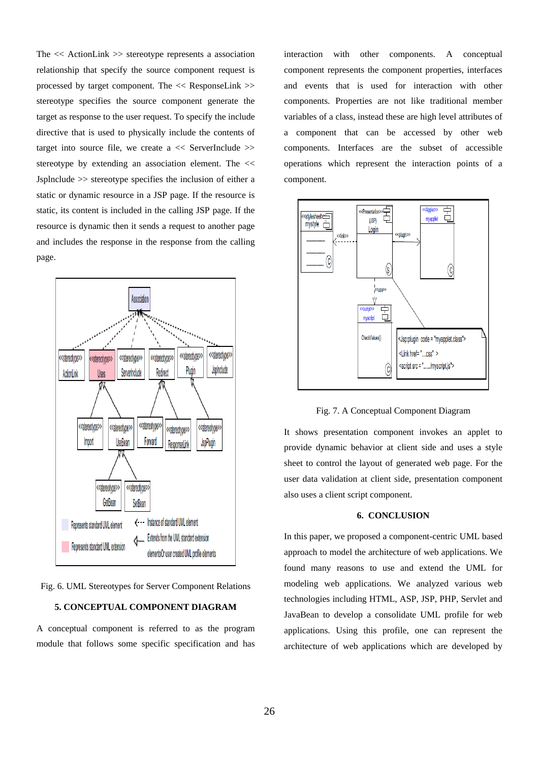The << ActionLink >> stereotype represents a association relationship that specify the source component request is processed by target component. The << ResponseLink >> stereotype specifies the source component generate the target as response to the user request. To specify the include directive that is used to physically include the contents of target into source file, we create a  $\ll$  ServerInclude  $\gg$ stereotype by extending an association element. The << Jsplnclude >> stereotype specifies the inclusion of either a static or dynamic resource in a JSP page. If the resource is static, its content is included in the calling JSP page. If the resource is dynamic then it sends a request to another page and includes the response in the response from the calling page.



Fig. 6. UML Stereotypes for Server Component Relations

#### **5. CONCEPTUAL COMPONENT DIAGRAM**

A conceptual component is referred to as the program module that follows some specific specification and has

interaction with other components. A conceptual component represents the component properties, interfaces and events that is used for interaction with other components. Properties are not like traditional member variables of a class, instead these are high level attributes of a component that can be accessed by other web components. Interfaces are the subset of accessible operations which represent the interaction points of a component.



Fig. 7. A Conceptual Component Diagram

It shows presentation component invokes an applet to provide dynamic behavior at client side and uses a style sheet to control the layout of generated web page. For the user data validation at client side, presentation component also uses a client script component.

#### **6. CONCLUSION**

In this paper, we proposed a component-centric UML based approach to model the architecture of web applications. We found many reasons to use and extend the UML for modeling web applications. We analyzed various web technologies including HTML, ASP, JSP, PHP, Servlet and JavaBean to develop a consolidate UML profile for web applications. Using this profile, one can represent the architecture of web applications which are developed by